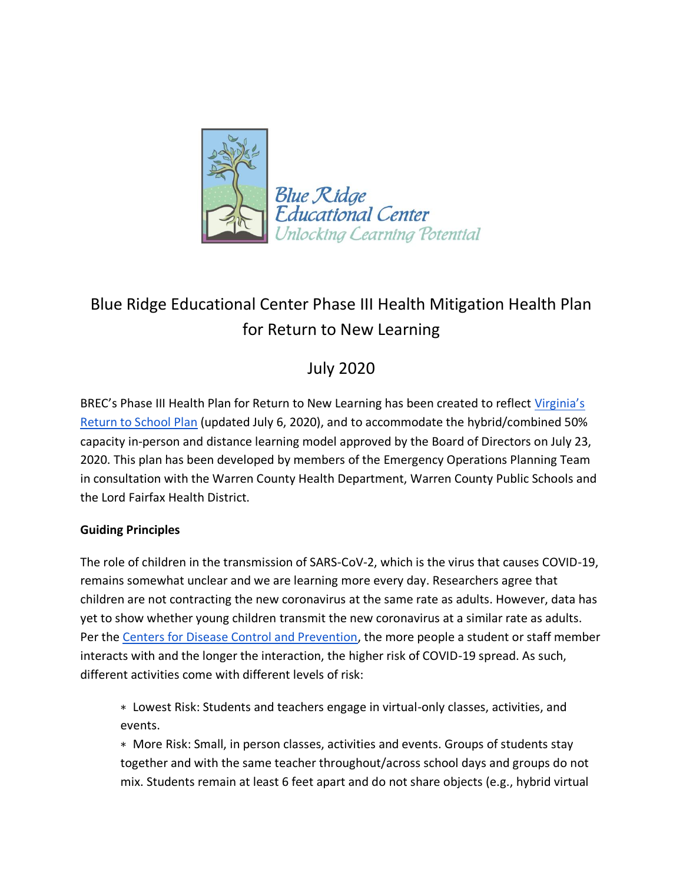

# Blue Ridge Educational Center Phase III Health Mitigation Health Plan for Return to New Learning

## July 2020

BREC's Phase III Health Plan for Return to New Learning has been created to reflect Virginia's [Return to School Plan](http://www.doe.virginia.gov/support/health_medical/covid-19/recover-redesign-restart.shtml) (updated July 6, 2020), and to accommodate the hybrid/combined 50% capacity in-person and distance learning model approved by the Board of Directors on July 23, 2020. This plan has been developed by members of the Emergency Operations Planning Team in consultation with the Warren County Health Department, Warren County Public Schools and the Lord Fairfax Health District.

#### **Guiding Principles**

The role of children in the transmission of SARS-CoV-2, which is the virus that causes COVID-19, remains somewhat unclear and we are learning more every day. Researchers agree that children are not contracting the new coronavirus at the same rate as adults. However, data has yet to show whether young children transmit the new coronavirus at a similar rate as adults. Per the [Centers for Disease Control and Prevention,](https://www.cdc.gov/coronavirus/2019-ncov/community/schools-childcare/schools.html) the more people a student or staff member interacts with and the longer the interaction, the higher risk of COVID-19 spread. As such, different activities come with different levels of risk:

∗ Lowest Risk: Students and teachers engage in virtual-only classes, activities, and events.

∗ More Risk: Small, in person classes, activities and events. Groups of students stay together and with the same teacher throughout/across school days and groups do not mix. Students remain at least 6 feet apart and do not share objects (e.g., hybrid virtual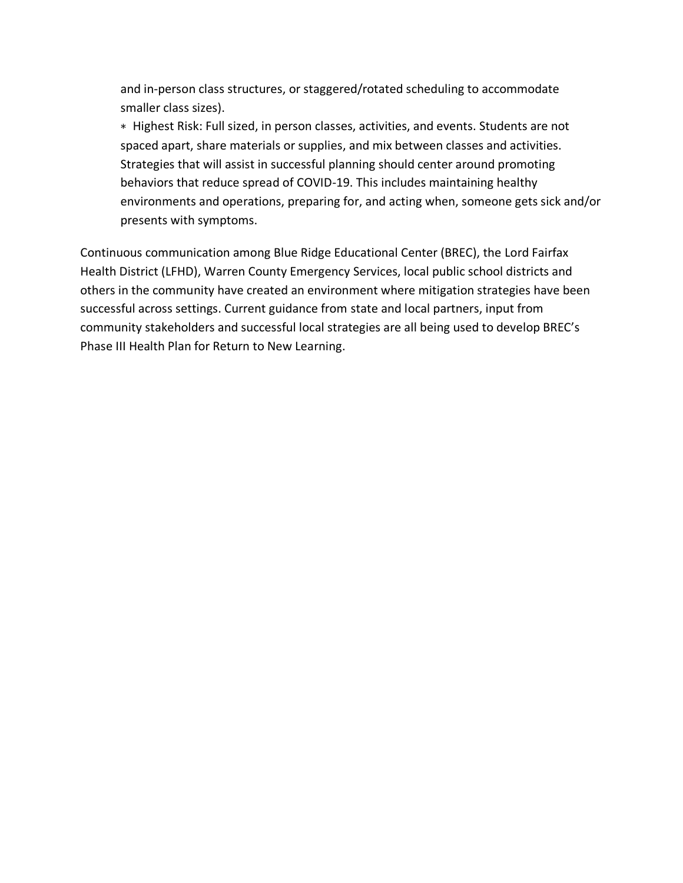and in-person class structures, or staggered/rotated scheduling to accommodate smaller class sizes).

∗ Highest Risk: Full sized, in person classes, activities, and events. Students are not spaced apart, share materials or supplies, and mix between classes and activities. Strategies that will assist in successful planning should center around promoting behaviors that reduce spread of COVID-19. This includes maintaining healthy environments and operations, preparing for, and acting when, someone gets sick and/or presents with symptoms.

Continuous communication among Blue Ridge Educational Center (BREC), the Lord Fairfax Health District (LFHD), Warren County Emergency Services, local public school districts and others in the community have created an environment where mitigation strategies have been successful across settings. Current guidance from state and local partners, input from community stakeholders and successful local strategies are all being used to develop BREC's Phase III Health Plan for Return to New Learning.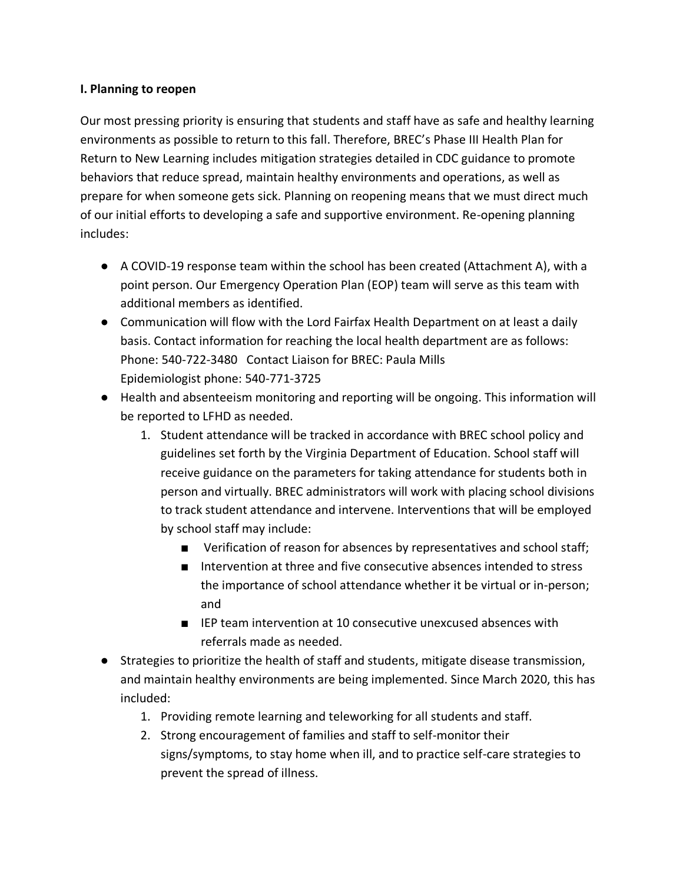#### **I. Planning to reopen**

Our most pressing priority is ensuring that students and staff have as safe and healthy learning environments as possible to return to this fall. Therefore, BREC's Phase III Health Plan for Return to New Learning includes mitigation strategies detailed in CDC guidance to promote behaviors that reduce spread, maintain healthy environments and operations, as well as prepare for when someone gets sick. Planning on reopening means that we must direct much of our initial efforts to developing a safe and supportive environment. Re-opening planning includes:

- A COVID-19 response team within the school has been created (Attachment A), with a point person. Our Emergency Operation Plan (EOP) team will serve as this team with additional members as identified.
- Communication will flow with the Lord Fairfax Health Department on at least a daily basis. Contact information for reaching the local health department are as follows: Phone: 540-722-3480 Contact Liaison for BREC: Paula Mills Epidemiologist phone: 540-771-3725
- Health and absenteeism monitoring and reporting will be ongoing. This information will be reported to LFHD as needed.
	- 1. Student attendance will be tracked in accordance with BREC school policy and guidelines set forth by the Virginia Department of Education. School staff will receive guidance on the parameters for taking attendance for students both in person and virtually. BREC administrators will work with placing school divisions to track student attendance and intervene. Interventions that will be employed by school staff may include:
		- Verification of reason for absences by representatives and school staff;
		- Intervention at three and five consecutive absences intended to stress the importance of school attendance whether it be virtual or in-person; and
		- IEP team intervention at 10 consecutive unexcused absences with referrals made as needed.
- Strategies to prioritize the health of staff and students, mitigate disease transmission, and maintain healthy environments are being implemented. Since March 2020, this has included:
	- 1. Providing remote learning and teleworking for all students and staff.
	- 2. Strong encouragement of families and staff to self-monitor their signs/symptoms, to stay home when ill, and to practice self-care strategies to prevent the spread of illness.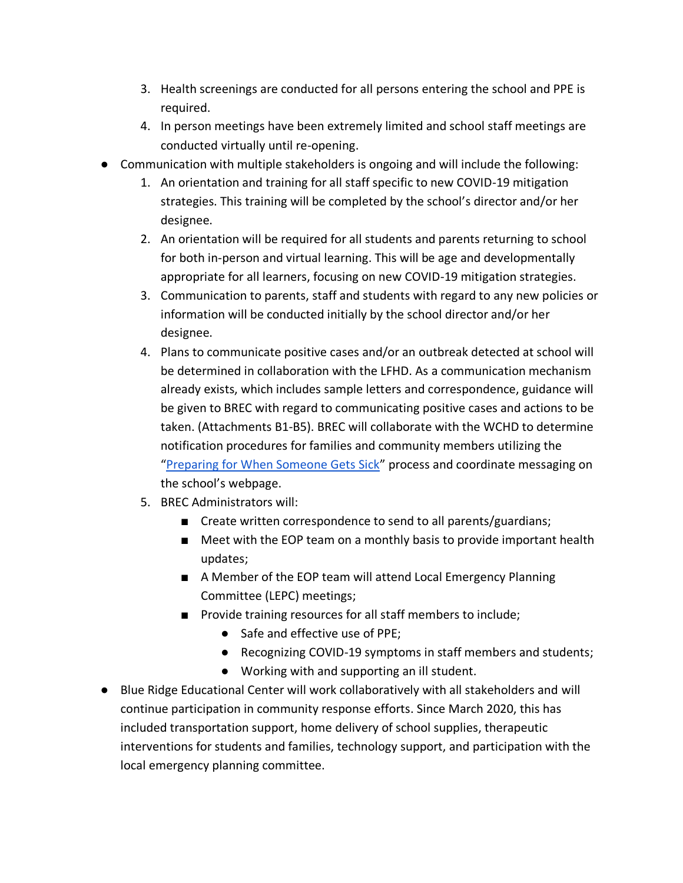- 3. Health screenings are conducted for all persons entering the school and PPE is required.
- 4. In person meetings have been extremely limited and school staff meetings are conducted virtually until re-opening.
- Communication with multiple stakeholders is ongoing and will include the following:
	- 1. An orientation and training for all staff specific to new COVID-19 mitigation strategies. This training will be completed by the school's director and/or her designee.
	- 2. An orientation will be required for all students and parents returning to school for both in-person and virtual learning. This will be age and developmentally appropriate for all learners, focusing on new COVID-19 mitigation strategies.
	- 3. Communication to parents, staff and students with regard to any new policies or information will be conducted initially by the school director and/or her designee.
	- 4. Plans to communicate positive cases and/or an outbreak detected at school will be determined in collaboration with the LFHD. As a communication mechanism already exists, which includes sample letters and correspondence, guidance will be given to BREC with regard to communicating positive cases and actions to be taken. (Attachments B1-B5). BREC will collaborate with the WCHD to determine notification procedures for families and community members utilizing the "[Preparing for When Someone Gets Sick](https://www.cdc.gov/coronavirus/2019-ncov/community/schools-childcare/schools.html)" process and coordinate messaging on the school's webpage.
	- 5. BREC Administrators will:
		- Create written correspondence to send to all parents/guardians;
		- Meet with the EOP team on a monthly basis to provide important health updates;
		- A Member of the EOP team will attend Local Emergency Planning Committee (LEPC) meetings;
		- Provide training resources for all staff members to include;
			- Safe and effective use of PPE;
			- Recognizing COVID-19 symptoms in staff members and students;
			- Working with and supporting an ill student.
- Blue Ridge Educational Center will work collaboratively with all stakeholders and will continue participation in community response efforts. Since March 2020, this has included transportation support, home delivery of school supplies, therapeutic interventions for students and families, technology support, and participation with the local emergency planning committee.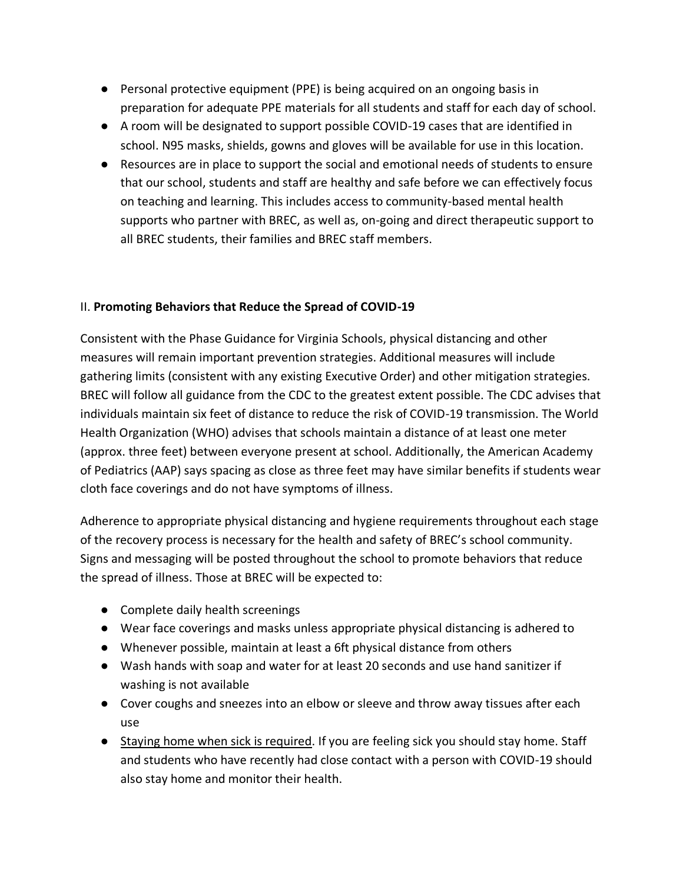- Personal protective equipment (PPE) is being acquired on an ongoing basis in preparation for adequate PPE materials for all students and staff for each day of school.
- A room will be designated to support possible COVID-19 cases that are identified in school. N95 masks, shields, gowns and gloves will be available for use in this location.
- Resources are in place to support the social and emotional needs of students to ensure that our school, students and staff are healthy and safe before we can effectively focus on teaching and learning. This includes access to community-based mental health supports who partner with BREC, as well as, on-going and direct therapeutic support to all BREC students, their families and BREC staff members.

#### II. **Promoting Behaviors that Reduce the Spread of COVID-19**

Consistent with the Phase Guidance for Virginia Schools, physical distancing and other measures will remain important prevention strategies. Additional measures will include gathering limits (consistent with any existing Executive Order) and other mitigation strategies. BREC will follow all guidance from the CDC to the greatest extent possible. The CDC advises that individuals maintain six feet of distance to reduce the risk of COVID-19 transmission. The World Health Organization (WHO) advises that schools maintain a distance of at least one meter (approx. three feet) between everyone present at school. Additionally, the American Academy of Pediatrics (AAP) says spacing as close as three feet may have similar benefits if students wear cloth face coverings and do not have symptoms of illness.

Adherence to appropriate physical distancing and hygiene requirements throughout each stage of the reco*v*ery process is necessary for the health and safety of BREC's school community. Signs and messaging will be posted throughout the school to promote behaviors that reduce the spread of illness. Those at BREC will be expected to:

- Complete daily health screenings
- Wear face coverings and masks unless appropriate physical distancing is adhered to
- Whenever possible, maintain at least a 6ft physical distance from others
- Wash hands with soap and water for at least 20 seconds and use hand sanitizer if washing is not available
- Cover coughs and sneezes into an elbow or sleeve and throw away tissues after each use
- Staying home when sick is required. If you are feeling sick you should stay home. Staff and students who have recently had close contact with a person with COVID-19 should also stay home and monitor their health.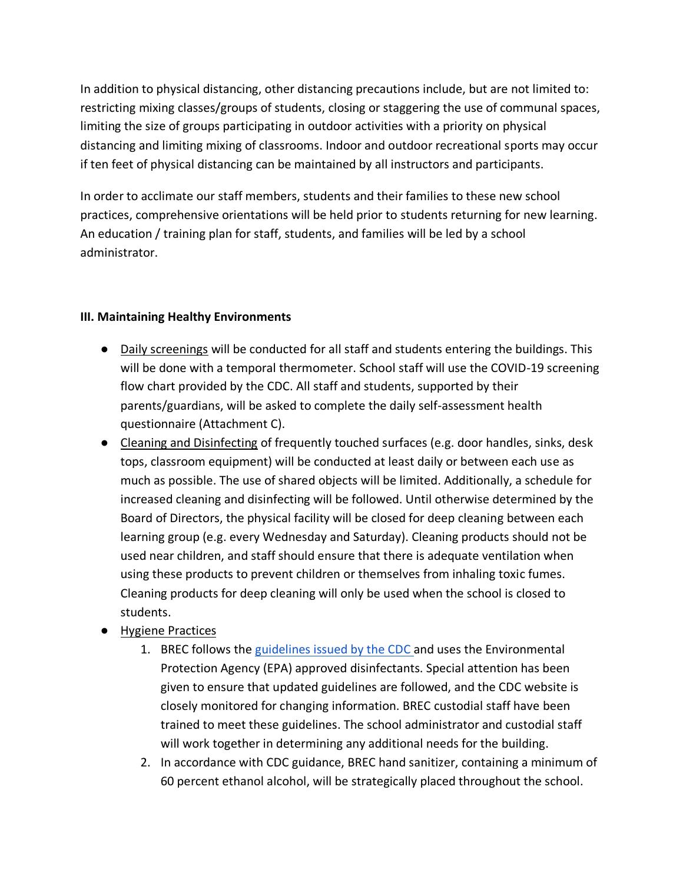In addition to physical distancing, other distancing precautions include, but are not limited to: restricting mixing classes/groups of students, closing or staggering the use of communal spaces, limiting the size of groups participating in outdoor activities with a priority on physical distancing and limiting mixing of classrooms. Indoor and outdoor recreational sports may occur if ten feet of physical distancing can be maintained by all instructors and participants.

In order to acclimate our staff members, students and their families to these new school practices, comprehensive orientations will be held prior to students returning for new learning. An education / training plan for staff, students, and families will be led by a school administrator.

#### **III. Maintaining Healthy Environments**

- Daily screenings will be conducted for all staff and students entering the buildings. This will be done with a temporal thermometer. School staff will use the COVID-19 screening flow chart provided by the CDC. All staff and students, supported by their parents/guardians, will be asked to complete the daily self-assessment health questionnaire (Attachment C).
- Cleaning and Disinfecting of frequently touched surfaces (e.g. door handles, sinks, desk tops, classroom equipment) will be conducted at least daily or between each use as much as possible. The use of shared objects will be limited. Additionally, a schedule for increased cleaning and disinfecting will be followed. Until otherwise determined by the Board of Directors, the physical facility will be closed for deep cleaning between each learning group (e.g. every Wednesday and Saturday). Cleaning products should not be used near children, and staff should ensure that there is adequate ventilation when using these products to prevent children or themselves from inhaling toxic fumes. Cleaning products for deep cleaning will only be used when the school is closed to students.
- Hygiene Practices
	- 1. BREC follows the [guidelines issued by the CDC a](https://www.cdc.gov/coronavirus/2019-ncov/community/reopen-guidance.html)nd uses the Environmental Protection Agency (EPA) approved disinfectants. Special attention has been given to ensure that updated guidelines are followed, and the CDC website is closely monitored for changing information. BREC custodial staff have been trained to meet these guidelines. The school administrator and custodial staff will work together in determining any additional needs for the building.
	- 2. In accordance with CDC guidance, BREC hand sanitizer, containing a minimum of 60 percent ethanol alcohol, will be strategically placed throughout the school.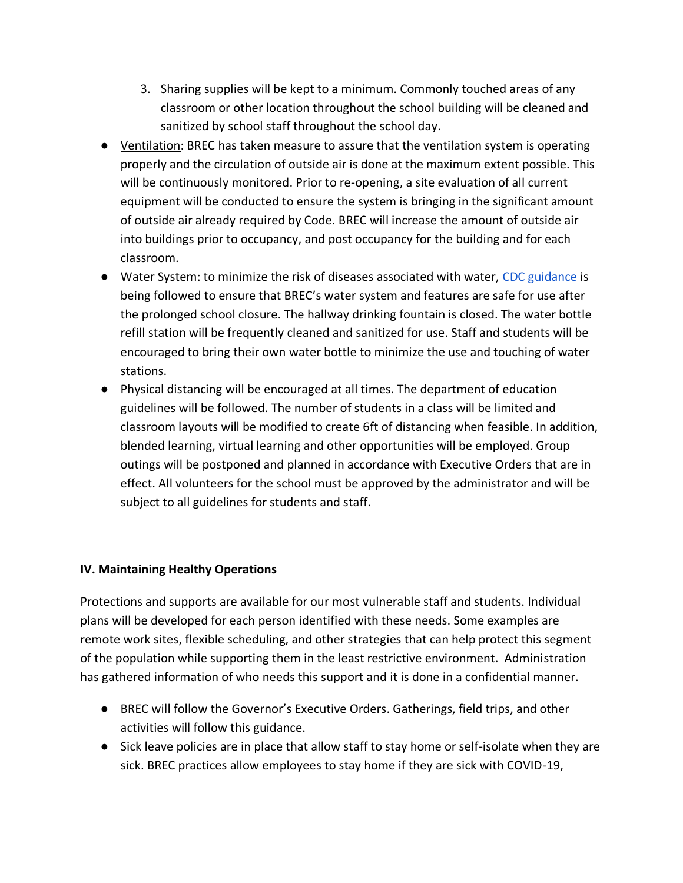- 3. Sharing supplies will be kept to a minimum. Commonly touched areas of any classroom or other location throughout the school building will be cleaned and sanitized by school staff throughout the school day.
- Ventilation: BREC has taken measure to assure that the ventilation system is operating properly and the circulation of outside air is done at the maximum extent possible. This will be continuously monitored. Prior to re-opening, a site evaluation of all current equipment will be conducted to ensure the system is bringing in the significant amount of outside air already required by Code. BREC will increase the amount of outside air into buildings prior to occupancy, and post occupancy for the building and for each classroom.
- Water System: to minimize the risk of diseases associated with water, [CDC guidance](https://www.cdc.gov/coronavirus/2019-ncov/php/building-water-system.html) is being followed to ensure that BREC's water system and features are safe for use after the prolonged school closure. The hallway drinking fountain is closed. The water bottle refill station will be frequently cleaned and sanitized for use. Staff and students will be encouraged to bring their own water bottle to minimize the use and touching of water stations.
- Physical distancing will be encouraged at all times. The department of education guidelines will be followed. The number of students in a class will be limited and classroom layouts will be modified to create 6ft of distancing when feasible. In addition, blended learning, virtual learning and other opportunities will be employed. Group outings will be postponed and planned in accordance with Executive Orders that are in effect. All volunteers for the school must be approved by the administrator and will be subject to all guidelines for students and staff.

#### **IV. Maintaining Healthy Operations**

Protections and supports are available for our most vulnerable staff and students. Individual plans will be developed for each person identified with these needs. Some examples are remote work sites, flexible scheduling, and other strategies that can help protect this segment of the population while supporting them in the least restrictive environment. Administration has gathered information of who needs this support and it is done in a confidential manner.

- BREC will follow the Governor's Executive Orders. Gatherings, field trips, and other activities will follow this guidance.
- Sick leave policies are in place that allow staff to stay home or self-isolate when they are sick. BREC practices allow employees to stay home if they are sick with COVID-19,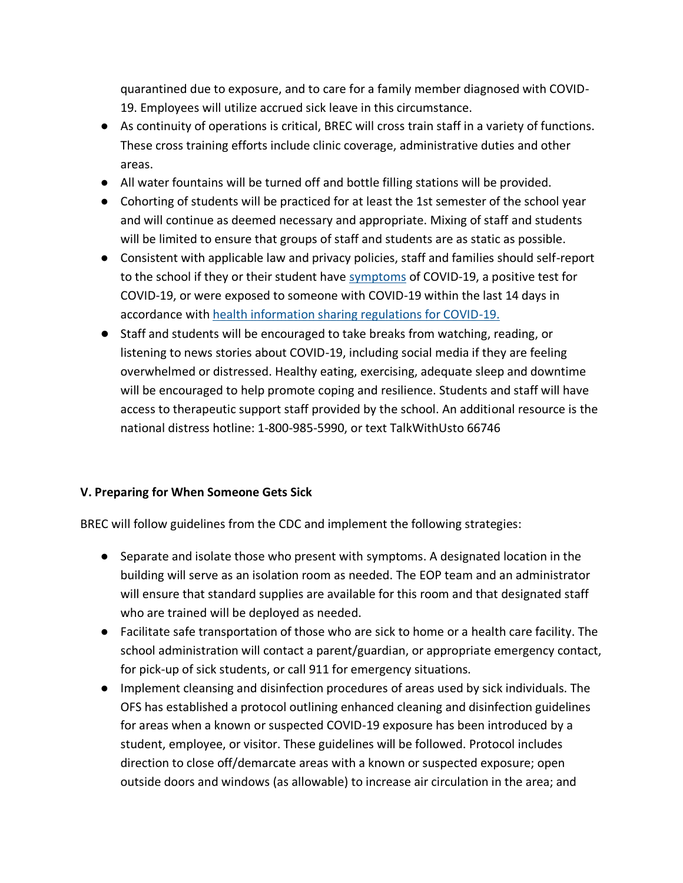quarantined due to exposure, and to care for a family member diagnosed with COVID-19. Employees will utilize accrued sick leave in this circumstance.

- As continuity of operations is critical, BREC will cross train staff in a variety of functions. These cross training efforts include clinic coverage, administrative duties and other areas.
- All water fountains will be turned off and bottle filling stations will be provided.
- Cohorting of students will be practiced for at least the 1st semester of the school year and will continue as deemed necessary and appropriate. Mixing of staff and students will be limited to ensure that groups of staff and students are as static as possible.
- Consistent with applicable law and privacy policies, staff and families should self-report to the school if they or their student have [symptoms](https://www.cdc.gov/coronavirus/2019-ncov/symptoms-testing/symptoms.html) of COVID-19, a positive test for COVID-19, or were exposed to someone with COVID-19 within the last 14 days in accordance with [health information sharing regulations for COVID-19.](https://www.hhs.gov/hipaa/for-professionals/special-topics/hipaa-covid19/index.html)
- Staff and students will be encouraged to take breaks from watching, reading, or listening to news stories about COVID-19, including social media if they are feeling overwhelmed or distressed. Healthy eating, exercising, adequate sleep and downtime will be encouraged to help promote coping and resilience. Students and staff will have access to therapeutic support staff provided by the school. An additional resource is the national distress hotline: 1-800-985-5990, or text TalkWithUsto 66746

#### **V. Preparing for When Someone Gets Sick**

BREC will follow guidelines from the CDC and implement the following strategies:

- Separate and isolate those who present with symptoms. A designated location in the building will serve as an isolation room as needed. The EOP team and an administrator will ensure that standard supplies are available for this room and that designated staff who are trained will be deployed as needed.
- Facilitate safe transportation of those who are sick to home or a health care facility. The school administration will contact a parent/guardian, or appropriate emergency contact, for pick-up of sick students, or call 911 for emergency situations.
- Implement cleansing and disinfection procedures of areas used by sick individuals. The OFS has established a protocol outlining enhanced cleaning and disinfection guidelines for areas when a known or suspected COVID-19 exposure has been introduced by a student, employee, or visitor. These guidelines will be followed. Protocol includes direction to close off/demarcate areas with a known or suspected exposure; open outside doors and windows (as allowable) to increase air circulation in the area; and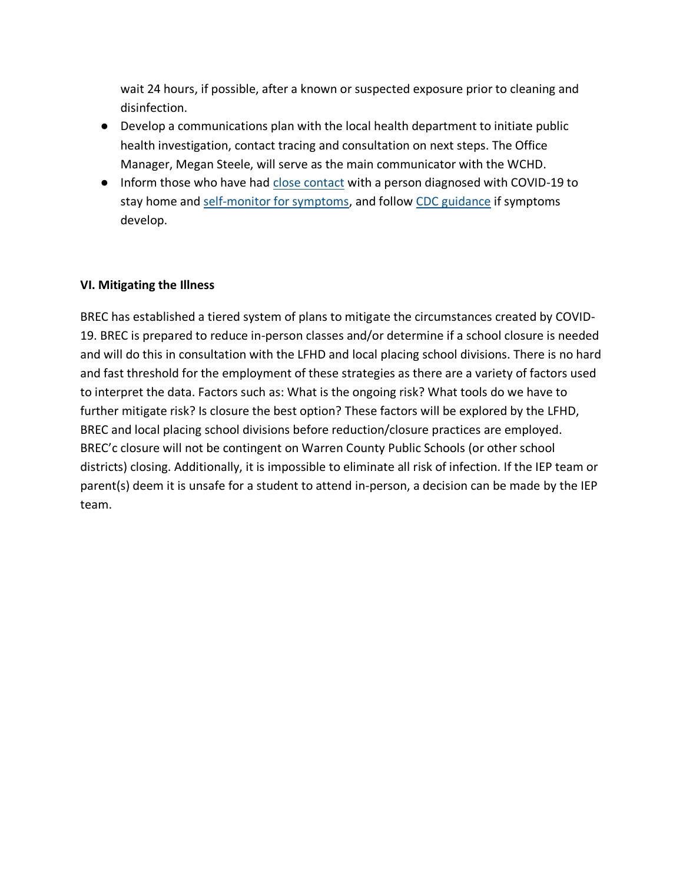wait 24 hours, if possible, after a known or suspected exposure prior to cleaning and disinfection.

- Develop a communications plan with the local health department to initiate public health investigation, contact tracing and consultation on next steps. The Office Manager, Megan Steele, will serve as the main communicator with the WCHD.
- Inform those who have had [close contact](https://www.cdc.gov/coronavirus/2019-ncov/php/public-health-recommendations.html) with a person diagnosed with COVID-19 to stay home and [self-monitor for symptoms,](https://www.cdc.gov/coronavirus/2019-ncov/if-you-are-sick/quarantine.html) and follow [CDC guidance](https://www.cdc.gov/coronavirus/2019-ncov/if-you-are-sick/steps-when-sick.html) if symptoms develop.

#### **VI. Mitigating the Illness**

BREC has established a tiered system of plans to mitigate the circumstances created by COVID-19. BREC is prepared to reduce in-person classes and/or determine if a school closure is needed and will do this in consultation with the LFHD and local placing school divisions. There is no hard and fast threshold for the employment of these strategies as there are a variety of factors used to interpret the data. Factors such as: What is the ongoing risk? What tools do we have to further mitigate risk? Is closure the best option? These factors will be explored by the LFHD, BREC and local placing school divisions before reduction/closure practices are employed. BREC'c closure will not be contingent on Warren County Public Schools (or other school districts) closing. Additionally, it is impossible to eliminate all risk of infection. If the IEP team or parent(s) deem it is unsafe for a student to attend in-person, a decision can be made by the IEP team.